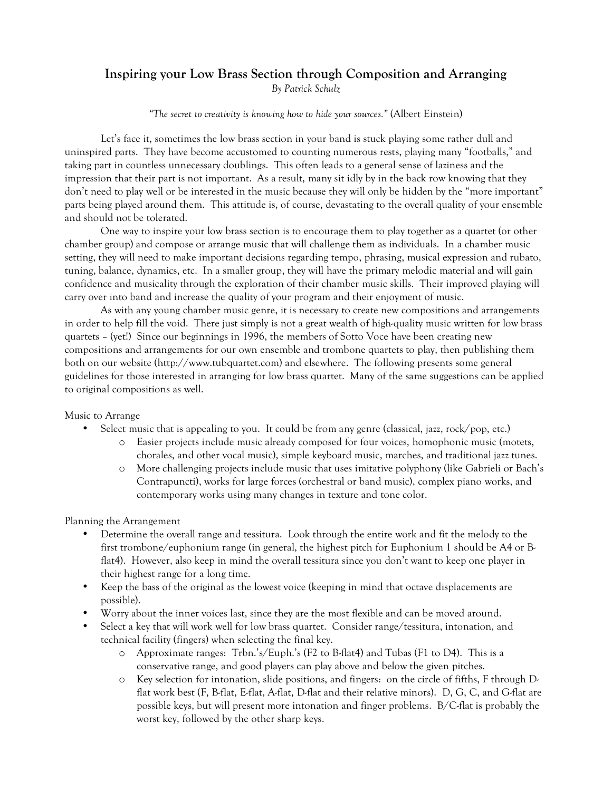### **Inspiring your Low Brass Section through Composition and Arranging** *By Patrick Schulz*

*"The secret to creativity is knowing how to hide your sources."* (Albert Einstein)

Let's face it, sometimes the low brass section in your band is stuck playing some rather dull and uninspired parts. They have become accustomed to counting numerous rests, playing many "footballs," and taking part in countless unnecessary doublings. This often leads to a general sense of laziness and the impression that their part is not important. As a result, many sit idly by in the back row knowing that they don't need to play well or be interested in the music because they will only be hidden by the "more important" parts being played around them. This attitude is, of course, devastating to the overall quality of your ensemble and should not be tolerated.

One way to inspire your low brass section is to encourage them to play together as a quartet (or other chamber group) and compose or arrange music that will challenge them as individuals. In a chamber music setting, they will need to make important decisions regarding tempo, phrasing, musical expression and rubato, tuning, balance, dynamics, etc. In a smaller group, they will have the primary melodic material and will gain confidence and musicality through the exploration of their chamber music skills. Their improved playing will carry over into band and increase the quality of your program and their enjoyment of music.

As with any young chamber music genre, it is necessary to create new compositions and arrangements in order to help fill the void. There just simply is not a great wealth of high-quality music written for low brass quartets – (yet!) Since our beginnings in 1996, the members of Sotto Voce have been creating new compositions and arrangements for our own ensemble and trombone quartets to play, then publishing them both on our website (http://www.tubquartet.com) and elsewhere. The following presents some general guidelines for those interested in arranging for low brass quartet. Many of the same suggestions can be applied to original compositions as well.

#### Music to Arrange

- Select music that is appealing to you. It could be from any genre (classical, jazz, rock/pop, etc.)
	- o Easier projects include music already composed for four voices, homophonic music (motets, chorales, and other vocal music), simple keyboard music, marches, and traditional jazz tunes.
		- o More challenging projects include music that uses imitative polyphony (like Gabrieli or Bach's Contrapuncti), works for large forces (orchestral or band music), complex piano works, and contemporary works using many changes in texture and tone color.

Planning the Arrangement

- Determine the overall range and tessitura. Look through the entire work and fit the melody to the first trombone/euphonium range (in general, the highest pitch for Euphonium 1 should be A4 or Bflat4). However, also keep in mind the overall tessitura since you don't want to keep one player in their highest range for a long time.
- Keep the bass of the original as the lowest voice (keeping in mind that octave displacements are possible).
- Worry about the inner voices last, since they are the most flexible and can be moved around.
- Select a key that will work well for low brass quartet. Consider range/tessitura, intonation, and technical facility (fingers) when selecting the final key.
	- o Approximate ranges: Trbn.'s/Euph.'s (F2 to B-flat4) and Tubas (F1 to D4). This is a conservative range, and good players can play above and below the given pitches.
	- o Key selection for intonation, slide positions, and fingers: on the circle of fifths, F through Dflat work best (F, B-flat, E-flat, A-flat, D-flat and their relative minors). D, G, C, and G-flat are possible keys, but will present more intonation and finger problems. B/C-flat is probably the worst key, followed by the other sharp keys.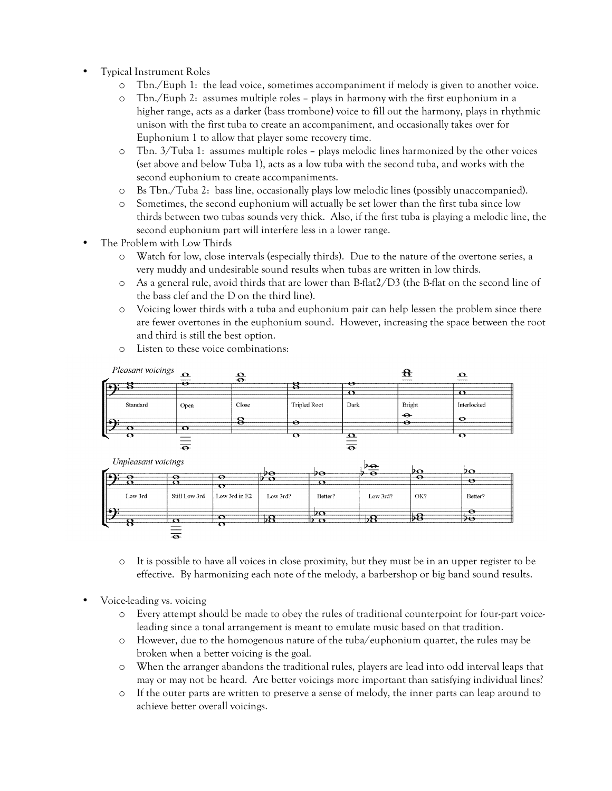- Typical Instrument Roles
	- o Tbn./Euph 1: the lead voice, sometimes accompaniment if melody is given to another voice.
	- o Tbn./Euph 2: assumes multiple roles plays in harmony with the first euphonium in a higher range, acts as a darker (bass trombone) voice to fill out the harmony, plays in rhythmic unison with the first tuba to create an accompaniment, and occasionally takes over for Euphonium 1 to allow that player some recovery time.
	- o Tbn. 3/Tuba 1: assumes multiple roles plays melodic lines harmonized by the other voices (set above and below Tuba 1), acts as a low tuba with the second tuba, and works with the second euphonium to create accompaniments.
	- o Bs Tbn./Tuba 2: bass line, occasionally plays low melodic lines (possibly unaccompanied).
	- o Sometimes, the second euphonium will actually be set lower than the first tuba since low thirds between two tubas sounds very thick. Also, if the first tuba is playing a melodic line, the second euphonium part will interfere less in a lower range.
- The Problem with Low Thirds
	- o Watch for low, close intervals (especially thirds). Due to the nature of the overtone series, a very muddy and undesirable sound results when tubas are written in low thirds.
	- $\circ$  As a general rule, avoid thirds that are lower than B-flat $2/D3$  (the B-flat on the second line of the bass clef and the D on the third line).
	- o Voicing lower thirds with a tuba and euphonium pair can help lessen the problem since there are fewer overtones in the euphonium sound. However, increasing the space between the root and third is still the best option.



o Listen to these voice combinations:

- o It is possible to have all voices in close proximity, but they must be in an upper register to be effective. By harmonizing each note of the melody, a barbershop or big band sound results.
- Voice-leading vs. voicing
	- o Every attempt should be made to obey the rules of traditional counterpoint for four-part voiceleading since a tonal arrangement is meant to emulate music based on that tradition.
	- o However, due to the homogenous nature of the tuba/euphonium quartet, the rules may be broken when a better voicing is the goal.
	- o When the arranger abandons the traditional rules, players are lead into odd interval leaps that may or may not be heard. Are better voicings more important than satisfying individual lines?
	- o If the outer parts are written to preserve a sense of melody, the inner parts can leap around to achieve better overall voicings.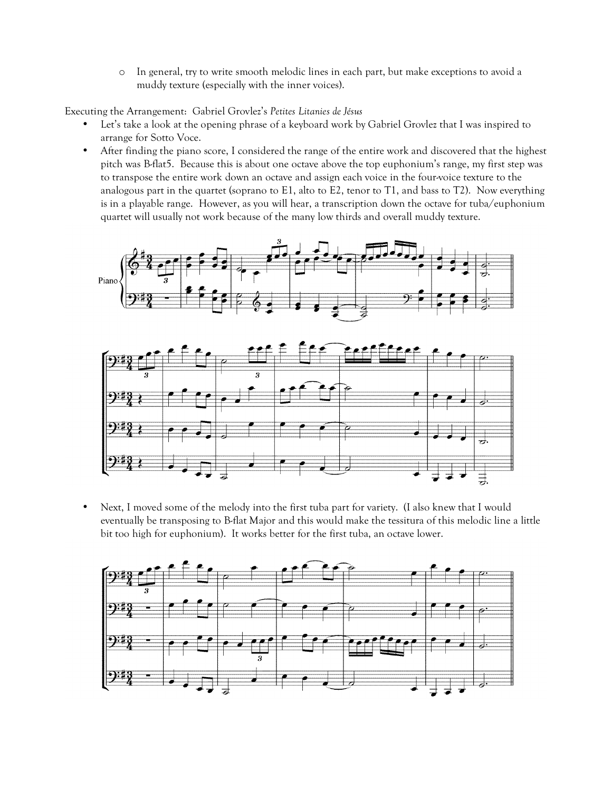o In general, try to write smooth melodic lines in each part, but make exceptions to avoid a muddy texture (especially with the inner voices).

Executing the Arrangement: Gabriel Grovlez's *Petites Litanies de Jésus*

- Let's take a look at the opening phrase of a keyboard work by Gabriel Grovlez that I was inspired to arrange for Sotto Voce.
- After finding the piano score, I considered the range of the entire work and discovered that the highest pitch was B-flat5. Because this is about one octave above the top euphonium's range, my first step was to transpose the entire work down an octave and assign each voice in the four-voice texture to the analogous part in the quartet (soprano to E1, alto to E2, tenor to T1, and bass to T2). Now everything is in a playable range. However, as you will hear, a transcription down the octave for tuba/euphonium quartet will usually not work because of the many low thirds and overall muddy texture.



• Next, I moved some of the melody into the first tuba part for variety. (I also knew that I would eventually be transposing to B-flat Major and this would make the tessitura of this melodic line a little bit too high for euphonium). It works better for the first tuba, an octave lower.

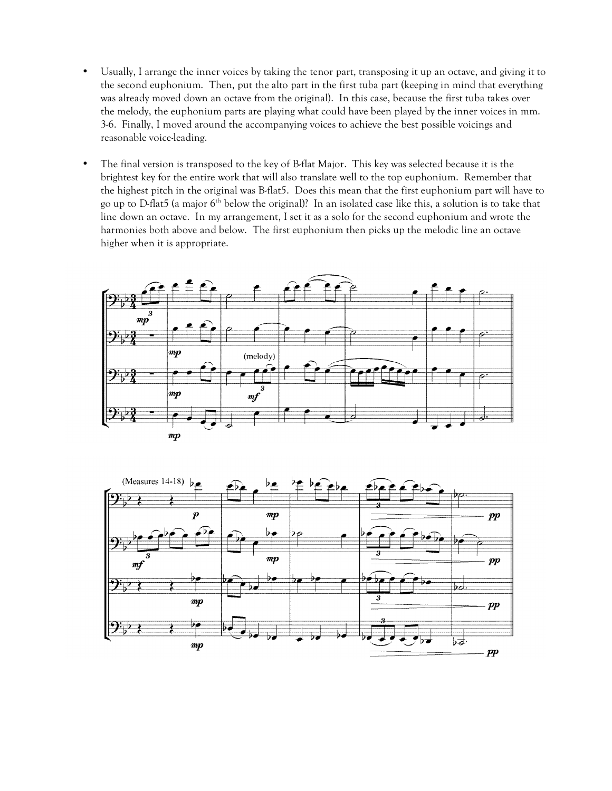- Usually, I arrange the inner voices by taking the tenor part, transposing it up an octave, and giving it to the second euphonium. Then, put the alto part in the first tuba part (keeping in mind that everything was already moved down an octave from the original). In this case, because the first tuba takes over the melody, the euphonium parts are playing what could have been played by the inner voices in mm. 3-6. Finally, I moved around the accompanying voices to achieve the best possible voicings and reasonable voice-leading.
- The final version is transposed to the key of B-flat Major. This key was selected because it is the brightest key for the entire work that will also translate well to the top euphonium. Remember that the highest pitch in the original was B-flat5. Does this mean that the first euphonium part will have to go up to D-flat5 (a major 6<sup>th</sup> below the original)? In an isolated case like this, a solution is to take that line down an octave. In my arrangement, I set it as a solo for the second euphonium and wrote the harmonies both above and below. The first euphonium then picks up the melodic line an octave higher when it is appropriate.



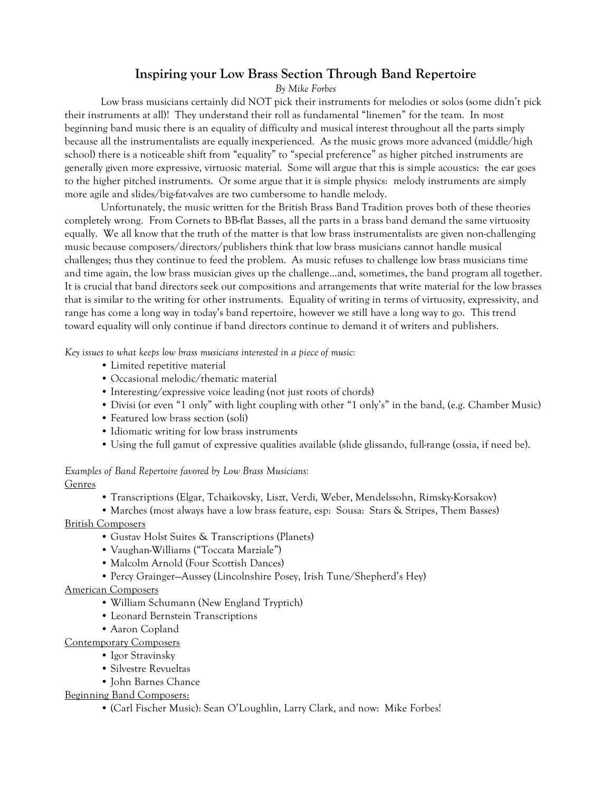# **Inspiring your Low Brass Section Through Band Repertoire**

*By Mike Forbes*

Low brass musicians certainly did NOT pick their instruments for melodies or solos (some didn't pick their instruments at all)! They understand their roll as fundamental "linemen" for the team. In most beginning band music there is an equality of difficulty and musical interest throughout all the parts simply because all the instrumentalists are equally inexperienced. As the music grows more advanced (middle/high school) there is a noticeable shift from "equality" to "special preference" as higher pitched instruments are generally given more expressive, virtuosic material. Some will argue that this is simple acoustics: the ear goes to the higher pitched instruments. Or some argue that it is simple physics: melody instruments are simply more agile and slides/big-fat-valves are two cumbersome to handle melody.

Unfortunately, the music written for the British Brass Band Tradition proves both of these theories completely wrong. From Cornets to BB-flat Basses, all the parts in a brass band demand the same virtuosity equally. We all know that the truth of the matter is that low brass instrumentalists are given non-challenging music because composers/directors/publishers think that low brass musicians cannot handle musical challenges; thus they continue to feed the problem. As music refuses to challenge low brass musicians time and time again, the low brass musician gives up the challenge…and, sometimes, the band program all together. It is crucial that band directors seek out compositions and arrangements that write material for the low brasses that is similar to the writing for other instruments. Equality of writing in terms of virtuosity, expressivity, and range has come a long way in today's band repertoire, however we still have a long way to go. This trend toward equality will only continue if band directors continue to demand it of writers and publishers.

*Key issues to what keeps low brass musicians interested in a piece of music:*

- Limited repetitive material
- Occasional melodic/thematic material
- Interesting/expressive voice leading (not just roots of chords)
- Divisi (or even "1 only" with light coupling with other "1 only's" in the band, (e.g. Chamber Music)
- Featured low brass section (soli)
- Idiomatic writing for low brass instruments
- Using the full gamut of expressive qualities available (slide glissando, full-range (ossia, if need be).

## *Examples of Band Repertoire favored by Low Brass Musicians:*

Genres

• Transcriptions (Elgar, Tchaikovsky, Liszt, Verdi, Weber, Mendelssohn, Rimsky-Korsakov)

• Marches (most always have a low brass feature, esp: Sousa: Stars & Stripes, Them Basses) British Composers

- Gustav Holst Suites & Transcriptions (Planets)
- Vaughan-Williams ("Toccata Marziale")
- Malcolm Arnold (Four Scottish Dances)
- Percy Grainger—Aussey (Lincolnshire Posey, Irish Tune/Shepherd's Hey)

### American Composers

- William Schumann (New England Tryptich)
- Leonard Bernstein Transcriptions
- Aaron Copland

Contemporary Composers

- Igor Stravinsky
- Silvestre Revueltas
- John Barnes Chance

Beginning Band Composers:

• (Carl Fischer Music): Sean O'Loughlin, Larry Clark, and now: Mike Forbes!